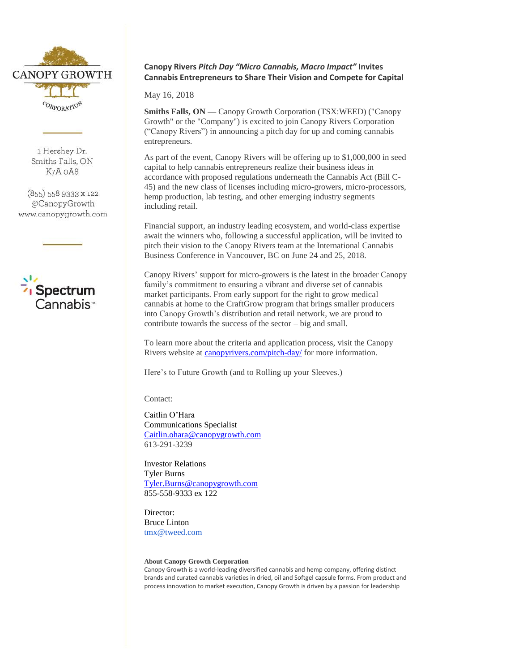

1 Hershey Dr. Smiths Falls, ON K7A OA8

(855) 558 9333 x 122 @CanopyGrowth www.canopygrowth.com



## **Canopy Rivers** *Pitch Day "Micro Cannabis, Macro Impact"* **Invites Cannabis Entrepreneurs to Share Their Vision and Compete for Capital**

May 16, 2018

**Smiths Falls, ON —** Canopy Growth Corporation (TSX:WEED) ("Canopy Growth" or the "Company") is excited to join Canopy Rivers Corporation ("Canopy Rivers") in announcing a pitch day for up and coming cannabis entrepreneurs.

As part of the event, Canopy Rivers will be offering up to \$1,000,000 in seed capital to help cannabis entrepreneurs realize their business ideas in accordance with proposed regulations underneath the Cannabis Act (Bill C-45) and the new class of licenses including micro-growers, micro-processors, hemp production, lab testing, and other emerging industry segments including retail.

Financial support, an industry leading ecosystem, and world-class expertise await the winners who, following a successful application, will be invited to pitch their vision to the Canopy Rivers team at the International Cannabis Business Conference in Vancouver, BC on June 24 and 25, 2018.

Canopy Rivers' support for micro-growers is the latest in the broader Canopy family's commitment to ensuring a vibrant and diverse set of cannabis market participants. From early support for the right to grow medical cannabis at home to the CraftGrow program that brings smaller producers into Canopy Growth's distribution and retail network, we are proud to contribute towards the success of the sector – big and small.

To learn more about the criteria and application process, visit the Canopy Rivers website at [canopyrivers.com/pitch-day/](https://www.canopyrivers.com/pitch-day/) for more information.

Here's to Future Growth (and to Rolling up your Sleeves.)

Contact:

Caitlin O'Hara Communications Specialist [Caitlin.ohara@canopygrowth.com](mailto:Caitlin.ohara@canopygrowth.com) 613-291-3239

Investor Relations Tyler Burns [Tyler.Burns@canopygrowth.com](mailto:Tyler.Burns@canopygrowth.com) 855-558-9333 ex 122

Director: Bruce Linton [tmx@tweed.com](mailto:tmx@tweed.com)

## **About Canopy Growth Corporation**

Canopy Growth is a world-leading diversified cannabis and hemp company, offering distinct brands and curated cannabis varieties in dried, oil and Softgel capsule forms. From product and process innovation to market execution, Canopy Growth is driven by a passion for leadership